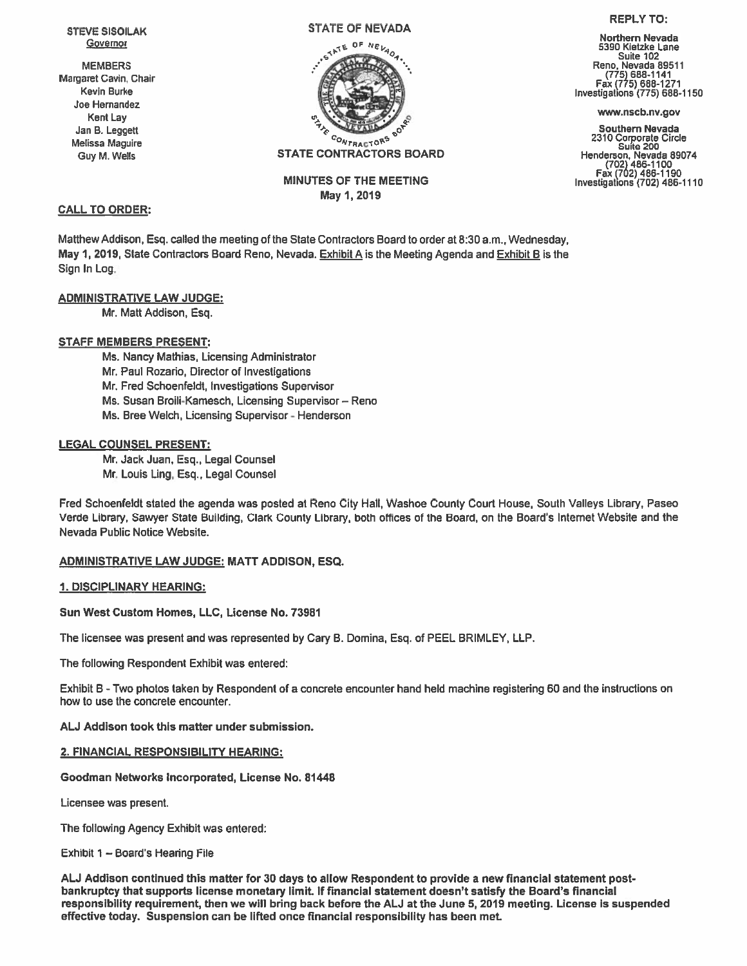STEVE SISOILAK Governor

**MEMBERS** Margaret Cavin, Chair Kevin Burke Joe Hernandez Kent Lay Jan B. Leggett Melissa Maguire Guy M. Wells

#### STATE OF NEVADA



MINUTES OF THE MEETING May 1,2019

## CALL TO ORDER:

Matthew Addison, Esq. called the meeting of the State Contractors Board to order at 8:30 am., Wednesday, May 1, 2019, State Contractors Board Reno, Nevada. Exhibit A is the Meeting Agenda and Exhibit B is the Sign In Log.

# ADMINISTRATIVE LAW JUDGE:

Mr. Matt Addison, Esq.

# STAFF MEMBERS PRESENT:

Ms. Nancy Mathias, Licensing Administrator Mr. Paul Rozario, Director of Investigations Mr. Fred Schoenfeldt, Investigations Supervisor Ms. Susan Broili-Kamesch, Licensing Supervisor— Reno Ms. Bree Welch, Licensing Supervisor - Henderson

### LEGAL COUNSEL PRESENT:

Mr. Jack Juan, Esq., Legal Counsel Mr. Louis Ling, Esq., Legal Counsel

Fred Schoenfeldt stated the agenda was posted at Reno City Hall, Washoe County Court House, South Valleys Library, Paseo Verde Library, Sawyer State Building, Clark County Library, both offices of the Board, on the Board's Internet Website and the Nevada Public Notice Website.

### ADMINISTRATIVE LAW JUDGE: MATT ADDISON, ESQ.

### 1. DISCIPLINARY HEARING:

Sun West Custom Homes, LLC, License No. 73981

The licensee was presen<sup>t</sup> and was represented by Cary B. Domina, Esq. of PEEL BRIMLEY, LLP.

The following Respondent Exhibit was entered:

Exhibit B - Two photos taken by Respondent of <sup>a</sup> concrete encounter hand held machine registering 60 and the instructions on how to use the concrete encounter.

ALJ Addison took this matter under submission.

### 2. FINANCIAL RESPONSIBILITY HEARING:

Goodman Networks Incorporated, License No. 81448

Licensee was present.

The following Agency Exhibit was entered:

Exhibit 1 — Board's Hearing File

AU Addison continued this matter for 30 days to allow Respondent to provide <sup>a</sup> new financial statement postbankruptcy that supports license monetary limit If financial statement doesn't satisfy the Board's financial responsibility requirement, then we will bring back before the ALJ at the June 5, 2019 meeting. License is suspended effective today. Suspension can be lifted once financial responsibility has been met

### REPLY TO:

Northern Nevada 5390 Kietzke Lane Suite 102 Reno, Nevada 89511 Fax (775) 688-1271<br>Investigations (775) 688-1150

www.nscb.nv.gov

Southern Nevada <sup>2310</sup> Corporate Circle Suite <sup>200</sup> Henderson, Nevada 89074 (702)486-1100 Fax (702)486-1190 Investigations (702) 486-1110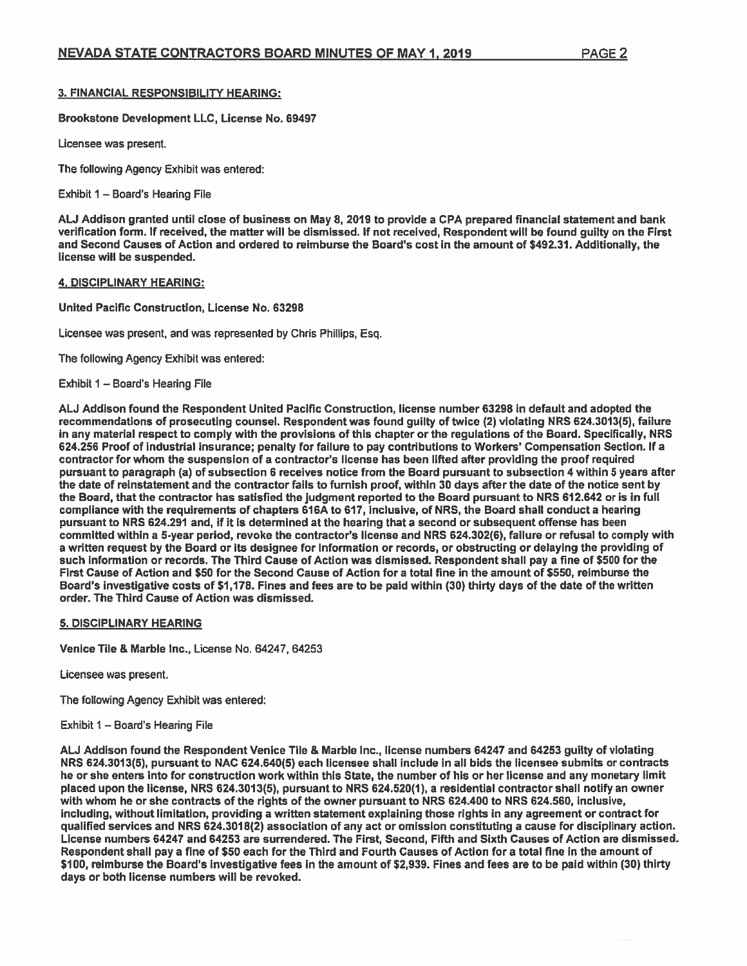## 3. FINANCIAL RESPONSIBILITY HEARING:

Brookstone Development LLC, License No. 69497

Licensee was present.

The following Agency Exhibit was entered:

Exhibit  $1 -$  Board's Hearing File

AU Addison granted until close of business on May 6, 2019 to provide <sup>a</sup> CPA prepared financial statement and bank verification form. If received, the matter will be dismissed. If not received. Respondent will be found quilty on the First and Second Causes of Action and ordered to reimburse the Board's cost in the amount of \$492.31. Additionally, the license will be suspended.

#### 4. DISCIPLINARY HEARING:

United Pacific Construction, License No. 63298

Licensee was present, and was represented by Chris Phillips, Esq.

The following Agency Exhibit was entered:

Exhibit I — Board's Hearing File

AU Addison found the Respondent United Pacific Construction, license number 63298 in default and adopted the recommendations of prosecuting counsel. Respondent was found guilty of twice (2) violating NRS 624.3013(5), failure in any material respec<sup>t</sup> to comply with the provisions of this chapter or the regulations of the Board. Specifically, NRS 624.256 Proof of industrial insurance; penalty for failure to pay contributions to Workers' Compensation Section. If <sup>a</sup> contractor for whom the suspension of <sup>a</sup> contractor's license has been lifted after providing the proof required pursuan<sup>t</sup> to paragraph (a) of subsection 6 receives notice from the Board pursuan<sup>t</sup> to subsection 4 within 5 years after the date of reinstatement and the contractor fails to furnish proof, within 30 days after the date of the notice sent by the Board, that the contractor has satisfied the judgment reported to the Board pursuan<sup>t</sup> to NRS 612.642 or is in full compliance with the requirements of chapters 616A to 617, inclusive, of NRS, the Board shall conduct <sup>a</sup> hearing pursuan<sup>t</sup> to NRS 624.291 and, if it is determined at the hearing that <sup>a</sup> second or subsequent offense has been committed within <sup>a</sup> 5-year period, revoke the contractor's license and NRS 624.302(6), failure or refusal to comply with <sup>a</sup> written reques<sup>t</sup> by the Board or its designee for information or records, or obstructing or delaying the providing of such information or records. The Third Cause of Action was dismissed. Respondent shall pay <sup>a</sup> fine of \$500 for the First Cause of Action and \$50 for the Second Cause of Action for <sup>a</sup> total fine in the amount of \$550, reimburse the Board's investigative costs of \$1,178. Fines and fees are to be paid within (30) thirty days of the date of the written order. The Third Cause of Action was dismissed.

### 5. DISCIPLINARY HEARING

Venice Tile & Marble Inc., License No. 64247, 64253

Licensee was present.

The following Agency Exhibit was entered:

### Exhibit 1 — Board's Hearing File

AU Addison found the Respondent Venice Tile & Marble Inc., license numbers 64247 and 64253 guilty of violating NRS 624.3013(5), pursuan<sup>t</sup> to NAC 624.640(5) each licensee shall include in all bids the licensee submits or contracts he or she enters into for construction work within this State, the number of his or her license and any monetary limit placed upon the license, NRS 624.3013(5), pursuan<sup>t</sup> to NRS 624.520(1), <sup>a</sup> residential contractor shall notify an owner with whom he or she contracts of the rights of the owner pursuan<sup>t</sup> to NRS 624.400 to NRS 624.560, inclusive, including, without limitation, providing <sup>a</sup> written statement explaining those rights in any agreemen<sup>t</sup> or contract for qualified services and NRS 624.3018(2) association of any act or omission constituting <sup>a</sup> cause for disciplinary action. License numbers 64247 and 64253 are surrendered. The First, Second, Fifth and Sixth Causes of Action are dismissed. Respondent shall pay <sup>a</sup> fine of \$50 each for the Third and Fourth Causes of Action for <sup>a</sup> total fine in the amount of \$100, reimburse the Board's investigative fees in the amount of \$2,939. Fines and fees are to be paid within (30) thirty days or both license numbers will be revoked.